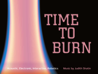# TIME TO BURN

Acoustic, Electronic, Interactive, Robotics Music by Judith Shatin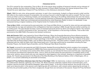### PROGRAM NOTES

The CD is named for the composition *Time to Burn*. All of the pieces share qualities of temporal intensity and an element of burning, whether the fiery chariot of Elijah; the dark character of Goya's Black Paintings; the intense temporal flow of *Sic Transit*; the sonic lightning of *Hosech Al P'ney HaTehom*, or the chiaroscuro elements of *Glyph*.

*Glyph,* (1984) for solo viola, string quartet, and piano, is cast in four movements. A glyph is a figure carved in relief, and the title refers to the creative process of composition, the carving of sound in relief through time and on oneself. The four movements are titled *Luminous, Flickering, Ecstatic,* and *Incandescent,* referring to the shifting relationships that color the interactions of the solo viola, quartet and piano. A lyrical opening movement is followed by a piquant second, an atmospheric third and a driving finale. *Glyph* was commissioned and premiered by violist Rosemary Glyde, to whom it is dedicated. It was composed during a magical residency at the Virginia Center for Creative Arts (VCCA).

*Time to Burn* (2006), commissioned by percussionists I-Jen Fang and Mike Schutz, is scored for oboe and two percussionists. It was fueled by my rage and sadness at the conflagrations that were erupting in 2006, though that was neither a starting nor an ending point. The past decade has been a time of renewed holocausts driven by ethnic and religious hatred. The rampant intolerance in our world is reminiscent of the "burning time" of the Inquisition or the burning of witches. *Time to Burn* was premiered at the 2006 PASIC (Percussive Arts Society) conference.

*Grito del Corazón* (2001) was inspired by Goya's Black Paintings. When the Ensemble Barcelona Nuova Musica wanted to commission a piece for their Painting Music program, presented in 2001 at the VIII Festival de Cinema Independent de Alternativa, I recalled my intense response to Goya's paintings in the Prado, and suggested this theme. The contents of the paintings deal with terrifying subject matter, such as Saturn Devouring his Son. This piece exists in multiple versions, and may be presented with the video by Kathy Aoki (http://www.kaoki.com). It has been performed by ensembles including Da Capo Chamber Players, the Danish Figura Ensemble, and the Pittsburgh New Music Ensemble.

*Sic Transit*, is scored for percussionist and CADI (Computer Assisted Drumming Machine) which consists of six computercontrolled mechanical arms developed by EMMI (http://www.expressivemachines.com). The piece reflects our complex interactions with time – we foresee some events while others surprise us; we intimate the future and recall the past, responding as our emotional and behavioral repertoires allow. Just so, there are times where the percussionist is completely aware of the robot arms' actions, others where s/he can only respond to what happens in the moment, drawing on a repertoire of possible moves. *Sic Transit* was premiered in the Rotunda of the West Building of the National Gallery of Art in Washington, DC on 3/16/11, on a concert celebrating its seventieth anniversary.

*Hosech AI P'ney HaTehom (Darkness Upon the Face of the Deep)* (1990), for electronics, is about a world being born: out of the subterranean darkness, lightning; out of chaos, life. Music becomes unfamiliar; timbres shiver and break apart, zoom, coalesce, become animate. Boundaries disappear, space seems elastic. In the first of three sections, the sounds of the void reach up to become pitch. In the second, sonic lightning sets off a wild storm, with volcanic action spawning the animate. In the third, the primordial quality of the first is recaptured, though there are remnants of the second. *Hosech Al P'ney HaTehom*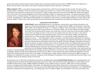*(previously titled Tenebrae Super Faciem Abyss)* was composed at Stanford University's CCRMA (Center for Research in Music and Acoustics), and was the last piece composed using the famed 'Sambox' synthesizer.

*Elijah's Chariot* (1995), is scored for string quartet and electronics made from processed shofar sounds. The story of the prophet Elijah is fantastic: He did not die but was swept up to heaven in a chariot of fire drawn by horses of fire. Many tales have grown up around him: they focus on his return to earth to help Jews and to announce the Messiah. Elijah also plays a role in the close of the Jewish Sabbath and the folk song *Eliahu HaNavi* is frequently sung then. The opening phrase of this melody forms a melodic thread. The electronic portion represents Heaven's call to Elijah, and is made from processed shofar sounds, recorded by Dr. Mel Siegel of Minneapolis. I am grateful to him and to my sister Deborah Shatin for their help in this process. *Elijah's Chariot* was commissioned by the Kronos Quartet with funding from the National Endowment for the Arts.



### COMPOSER/PERFORMERS

**Judith Shatin** (www.judithshatin.com) is a composer, sound artist, community arts partner and educator. Educated at Douglass College (AB), The Juilliard School (MM), and Princeton University (MFA, PhD), she is William R. Kenan, Jr. Professor of Music at the University of Virginia, where she founded and directs the Virginia Center for Computer Music. Her music reflects her deep engagement with the sounding world, literary and visual arts, and the social and communicative power of music. She is as likely to draw on the crunch of a potato chip, the clink of a fork, or the calls of animals as the traditional and extended sounds of acoustic instruments. Widely recorded and performed, her music has been called 'highly inventive…on every level; hugely enjoyable and deeply involving…" (*The Washington Post*). It has been commissioned by organizations including the Barlow and Fromm Foundations, the Library of Congress, the Virginia Commission for the Arts, and such ensembles as the Cassatt and Kronos Quartets, the Dutch Hexagon Ensemble, Peninsula Women's Chorus, the San Francisco Girls' Chorus, Scottish Voices, the Virginia Glee Club and the Illinois, National and Richmond Symphonies. A recipient of four composition fellowships from the National Endowment for the Arts, her work has been honored with a two-year retrospective supported by the Lila Wallace Readers Digest Arts Partners Program culminating in the commissioning

of Coal, an evening-length folk oratorio that includes sounds harvested in a coal mine. Twice a fellow at the Rockefeller Center in Bellagio, Shatin has also held residencies at Casa Zia Lina (Italy), La Cité des Arts (France), MacDowell, Mishkan Omanim (Israel), the Virginia Center for the Arts, and Yaddo. In demand as a master teacher, Shatin has served as BMI composer-inresidence at Vanderbilt University, as senior composer at the Wellesley Composers Forum and California Summer Music, and as Master Artist at the Atlantic Center for the Arts.

Acclaimed as one of America's outstanding ensembles, the Manhattan-based **Cassatt String Quartet** (www.cassattquartet.com) has performed throughout North America, Europe, and the Far East. The Quartet has been presented on radio stations such as NPR's Performance Today, WGBH, WQXR and WNYC, and on Radio France. Formed in 1985, their numerous awards include a Tanglewood Chamber Music Fellowship, the Wardwell Chamber Music Fellowship, first prizes at the Fischoff and Coleman Chamber Music Competitions, two top prizes at the Banff International String Quartet Competition, two CMA/ASCAP Awards for Adventurous Programming, a recording grant from the Mary Flagler Cary Charitable Trust, and commissioning Insults. Supported by the Lila Wallace Readers Digest Are the Current foundations, the Lind Washington Post, and a set the Barlow and From Foundations, the Library of Supply involving..." (The Washington Post).<br>
Similar Se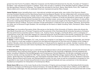grants from the Fromm Foundation, Meet the Composer and the National Endowment for the Arts. Founders of "Cassatt in the Basin", their educational program in Odessa, Texas, they are also in residence at the Seal Bay Festival in Maine and the Hot Springs Music Festival in Arkansas. The Cassatt has recorded for the Koch, Naxos, New World, Point, CRI, Tzadik and Albany labels and is named for the celebrated American impressionist painter Mary Cassatt.

**James Dunham** (www.JamesDunham.com), international recitalist and guest artist, was violist of the Grammy Awardwinning Cleveland Quartet and the Naumburg Award-winning Sequoia Quartet. He has collaborated with renowned artists, such as members of the American, Cassatt, Guarneri, Juilliard, Takács and Tokyo Quartets. He is also violist of the Smithsonian Institute's Axelrod String Quartet, performing on the museum's collection of Amati and Stradivari instruments. An advocate of new music, he premiered and recorded two works by Libby Larsen, among many others. A professor of viola at Rice University's distinguished Shepherd School of Music, Mr. Dunham previously taught at the New England Conservatory and the Eastman School of Music. Summer activities include participation in festivals such as the Aspen, Sarasota, *SummerFest*  (La Jolla), and *le Domaine* Forget (Quebec). His recordings can be heard on labels including Telarc, Nonesuch, Delos, Naxos and Crystal.

**I-Jen Fang** is an Innovative Percussion Artist. She serves on the faculty of the University of Virginia, where she directs the New Music Ensemble and is Principal Timpanist and Percussionist of the Charlottesville & University Symphony Orchestra. She has performed as marimba soloist in Taiwan, U.S., Austria, France, Hungary, and South Africa, and is a champion of contemporary music. Ms. Fang often appears as a featured performer at the Percussive Arts Society, presenting *Sic Transit* in 2011. She holds the B.F.A. from Carnegie Mellon University, M.M. from Northwestern University and the D.M.A. from the University of North Texas.

**D. Gause,** a native of the Washington, D.C. area, is active as a musician in Las Vegas as a conductor, keyboardist, and clarinetist. Dr. Gause is a multi-year recipient of grants from the National Endowment for the Arts and is Professor at the College of Southern Nevada, where she teaches clarinet and piano. D. Gause performs regularly as a soloist, chamber musician, and orchestral musician and tours with Clarion Synthesis. She has performed throughout the U.S., Canada, Cuba, Central America, Europe, and Japan.

**F. Gerard Errante** (http://fgerrante.org) is a clarinetist of international stature whose performances, spanning the Americas, Far East and Africa, have received critical acclaim. He earned the DMA from the University of Michigan and has published two books, including *A Selective Clarinet Bibliography and Contemporary Clarinet Repertoire.* He has also composed numerous works for clarinet, and has recorded for CRI, Telarc, Centaur Records, Mark Recordings, Capstone Records, AIR Records, Inc. (Japan), Apollo Records (The Netherlands), and Tall Poppies (Australia) labels. His *CD's Electric Clarinet, Shadows of Ancient Dreams, Beyond Noend with Errante,* and *Delicate Balance* contain his own music as well as compositions composed for him. A specialist in new music, Errante has performed at many international festivals and was a prizewinner in the International Gaudeamus Competition for Interpreters of Contemporary Music.

**Oboist Aaron Hill** serves on the music faculty at the University of Virginia and as principal in the Charlottesville & University Symphony Orchestra and Wintergreen Festival Orchestra. He holds the MM from the Yale School of Music and the BM from the University of Michigan. He was previously principal oboe in the Flint Symphony Orchestra, and has performed with orches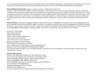tras including the San Diego Symphony, Orchestra of St. Luke's, Hartford Symphony, among others. He has been honored as a Yamaha Young Performing Artist and was awarded the Leche Trust Prize at the Barbirolli International Competition.

## **Pianist Margaret Kampmeier** enjoys a career as soloist, collaborative artist, and

educator. Since receiving her DMA at SUNY Stony Brook, she has performed and recorded extensively. She is a founding member of the Naumburg Award-winning New Millennium Ensemble and performs regularly with the Orchestra of St. Luke's and Orpheus Chamber Orchestra. She has appeared with the Metropolitan Opera Chamber Ensemble, Kronos Quartet, Chamber Music Society of Lincoln Center, the Colorado and Cassatt Quartets, as well as Sequitur, Newband, Speculum Musicae, and Musician's Accord. She recently joined Manhattan School of Music as a coach in the Contemporary Performance Program.

**Michael Schutz** is Assistant Professor of Music Cognition/Percussion at McMaster University where he conducts the percussion ensemble and directs the MAPLE (Music, Acoustics, Perception and LEarning) Lab. He has appeared at PASIC Percussion Conference as a soloist, chamber musician and serves as Chair of the Music Technology Committee. He holds degrees from Penn State (BMA), Northwestern University (MM), and a PhD in Psychology from the University of Virginia.

Production Information Recording engineers: *Glyph:* Marlan Barry *Elijah's Chariot:* Adam Abeshouse *Time to Burn:* Greg Howard *Grito del Corázon:* John Jacobson

Mastering Engineer: Mark Donahue Post-Production: Soundmirror, Boston Cover design and art: Rob Winter, www.winterdigital.com Music on this CD is published by Wendigo Music (BMI). This CD was made possible in part through a generous gift from Mr. Gerald Morgan and with research support from the University of Virginia.

# **Selected Discography**

Centaur CRC 2454 *Sea of Reeds and Three Summers Heat* Innova 613, *Dreamtigers* and *770, Tower of the Eight Winds* Neuma 450-995, *Gabriel's Wing, Fasting Heart and Kairos* New World 805592 *1492;* 80504-2 Adonai Ro'i Sonora S022591 *Hearing the Call and Fantasia sobre el Flamenco* Innova Director: Philip Blackburn Operations Manager: Chris Campbell Publicist: Steve McPherson Innova is supported by an endowment from the McKnight Foundation.